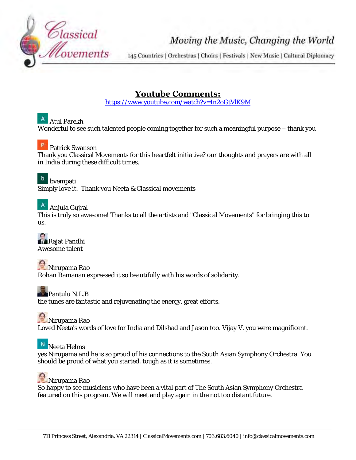

## Moving the Music, Changing the World

145 Countries | Orchestras | Choirs | Festivals | New Music | Cultural Diplomacy

## **Youtube Comments:**

<https://www.youtube.com/watch?v=In2oGtVlK9M>

**A** Atul Parekh

Wonderful to see such talented people coming together for such a meaningful purpose – thank you

#### P Patrick Swanson

Thank you Classical Movements for this heartfelt initiative? our thoughts and prayers are with all in India during these difficult times.

## b bvempati

Simply love it. Thank you Neeta & Classical movements

## Anjula Gujral

This is truly so awesome! Thanks to all the artists and "Classical Movements" for bringing this to us.

**Ara** Rajat Pandhi Awesome talent

**O** Nirupama Rao Rohan Ramanan expressed it so beautifully with his words of solidarity.

Pantulu N.L.B the tunes are fantastic and rejuvenating the energy. great efforts.

**O** Nirupama Rao Loved Neeta's words of love for India and Dilshad and Jason too. Vijay V. you were magnificent.

N Neeta Helms

yes Nirupama and he is so proud of his connections to the South Asian Symphony Orchestra. You should be proud of what you started, tough as it is sometimes.

## **D** Nirupama Rao

So happy to see musiciens who have been a vital part of The South Asian Symphony Orchestra featured on this program. We will meet and play again in the not too distant future.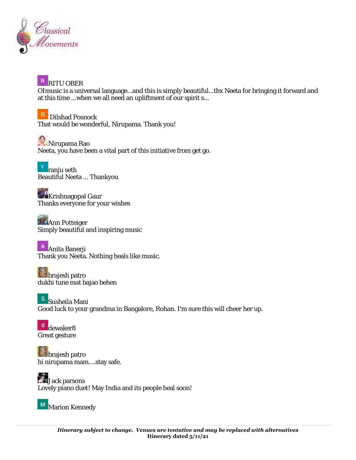

## R<br>RITU OBER

OImusic is a universal language...and this is simply beautiful...thx Neeta for bringing it forward and at this time ...when we all need an upliftment of our spirit s...

**D** Dilshad Posnock That would be wonderful, Nirupama. Thank you!

**Nirupama Rao** Neeta, you have been a vital part of this initiative from get go.

ranju seth Beautiful Neeta ... Thankyou

**Krishnagopal Gaur** Thanks everyone for your wishes

**Ann Potteiger** Simply beautiful and inspiring music

Anita Banerji Thank you Neeta. Nothing heals like music.

**E**dbrajesh patro dukhi tune mat bajao behen

Susheila Mani Good luck to your grandma in Bangalore, Rohan. I'm sure this will cheer her up.

d dewaker8 Great gesture

**b**abrajesh patro hi nirupama mam....stay safe.

**Jack parsons** Lovely piano duet! May India and its people heal soon!

M<br>Marion Kennedy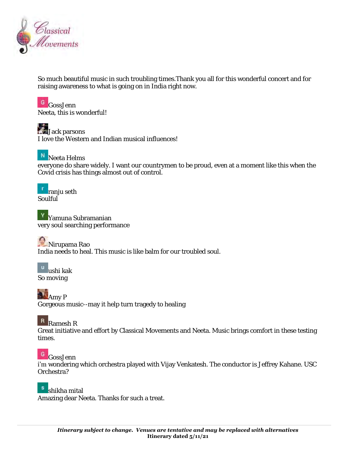

So much beautiful music in such troubling times.Thank you all for this wonderful concert and for raising awareness to what is going on in India right now.

G GossJenn Neeta, this is wonderful!

**Jack parsons** I love the Western and Indian musical influences!



Neeta Helms everyone do share widely. I want our countrymen to be proud, even at a moment like this when the Covid crisis has things almost out of control.

ranju seth **Soulful** 

Y Yamuna Subramanian very soul searching performance

**D** Nirupama Rao India needs to heal. This music is like balm for our troubled soul.

u ushi kak So moving

**Amy P** Gorgeous music--may it help turn tragedy to healing

## R<br>Ramesh R

Great initiative and effort by Classical Movements and Neeta. Music brings comfort in these testing times.

## G GossJenn

i'm wondering which orchestra played with Vijay Venkatesh. The conductor is Jeffrey Kahane. USC Orchestra?

s shikha mital

Amazing dear Neeta. Thanks for such a treat.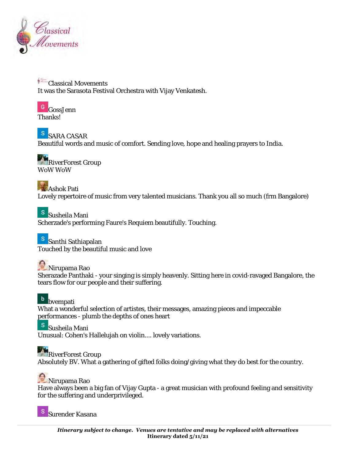

Classical Movements It was the Sarasota Festival Orchestra with Vijay Venkatesh.



SARA CASAR Beautiful words and music of comfort. Sending love, hope and healing prayers to India.

**RiverForest Group** WoW WoW

**Ashok Pati** Lovely repertoire of music from very talented musicians. Thank you all so much (frm Bangalore)

Susheila Mani Scherzade's performing Faure's Requiem beautifully. Touching.

Santhi Sathiapalan Touched by the beautiful music and love

Nirupama Rao Sherazade Panthaki - your singing is simply heavenly. Sitting here in covid-ravaged Bangalore, the tears flow for our people and their suffering.

b bvempati What a wonderful selection of artistes, their messages, amazing pieces and impeccable performances - plumb the depths of ones heart

Susheila Mani Unusual: Cohen's Hallelujah on violin.... lovely variations.

**RiverForest Group** Absolutely BV. What a gathering of gifted folks doing/giving what they do best for the country.

**O**Nirupama Rao

Have always been a big fan of Vijay Gupta - a great musician with profound feeling and sensitivity for the suffering and underprivileged.

Surender Kasana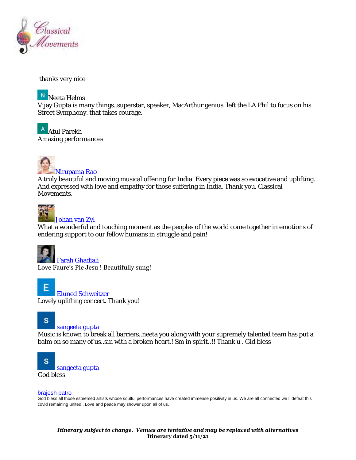

thanks very nice



A Atul Parekh Amazing performances



A truly beautiful and moving musical offering for India. Every piece was so evocative and uplifting. And expressed with love and empathy for those suffering in India. Thank you, Classical Movements.



#### [Johan van Zyl](https://www.youtube.com/channel/UCCyTmsBThEEk0jXM7Ouvmyg)

What a wonderful and touching moment as the peoples of the world come together in emotions of endering support to our fellow humans in struggle and pain!



[Farah Ghadiali](https://www.youtube.com/channel/UCgy6ByRq1FxpUqKGpAA-IMA) Love Faure's Pie Jesu ! Beautifully sung!

[Eluned Schweitzer](https://www.youtube.com/channel/UCLMJ4bVDi7ITqlqWk9PU_QQ) Lovely uplifting concert. Thank you!

### s

#### [sangeeta gupta](https://www.youtube.com/channel/UCfuxoc74t-I7c--WPbAwvpw)

Music is known to break all barriers..neeta you along with your supremely talented team has put a balm on so many of us..sm with a broken heart.! Sm in spirit..!! Thank u . Gid bless

S [sangeeta gupta](https://www.youtube.com/channel/UCfuxoc74t-I7c--WPbAwvpw) God bless

#### [brajesh patro](http://www.youtube.com/channel/UCT_WwrLqO_8_oZZRx_VdcFQ)

God bless all those esteemed artists whose soulful performances have created immense positivity in us. We are all connected we ll defeat this covid remaining united . Love and peace may shower upon all of us.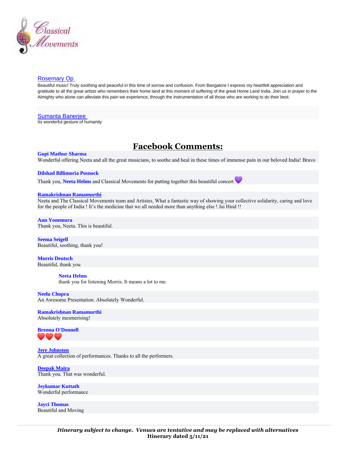

#### [Rosemary Op](http://www.youtube.com/channel/UCDDWTfcmADHMfW_LQKXl3nw)

Beautiful music! Truly soothing and peaceful in this time of sorrow and confusion. From Bangalore I express my heartfelt appreciation and gratitude to all the great artists who remembers their home land at this moment of suffering of the great Home Land India. Join us in prayer to the Almighty who alone can alleviate this pain we experience, through the instrumentation of all those who are working to do their best.

#### [Sumanta Banerjee](http://www.youtube.com/channel/UCRCJd3TWPrK-UI-b_LNNtLA)

Its wonderful gesture of humanity

## **Facebook Comments:**

#### **[Gopi Mathur Sharma](https://www.facebook.com/gopi.m.sharma?comment_id=Y29tbWVudDo4MTI0NjgxMTk2NzQzNTVfODEyOTM1NDE2Mjk0Mjky&__cft__%5b0%5d=AZWJA4GecZPG7e1U3j3EgrsHamzp9oJST6OJTB5R1y1jYhbOTSYX6K0UDFHhwTL-43Zytei2lkuzxf9E2qxL8fLV_HcJb3hcFmB5EcIfTxzguSlMRGNsEe1TNRP-wGrG6leyZyO7TUt8tE4wlIOnEQBI7G2RUt43WZ8WLHwUAostfWN5PbnBz7i1d3wTmDhRSms&__tn__=R%5d-R)**

Wonderful offering Neeta and all the great musicians, to soothe and heal in these times of immense pain in our beloved India! Bravo

#### **[Dilshad Billimoria Posnock](https://www.facebook.com/dilshad.posnock?comment_id=Y29tbWVudDo4MTI0NjgxMTk2NzQzNTVfODEyOTA3MTUyOTYzNzg1&__cft__%5b0%5d=AZWJA4GecZPG7e1U3j3EgrsHamzp9oJST6OJTB5R1y1jYhbOTSYX6K0UDFHhwTL-43Zytei2lkuzxf9E2qxL8fLV_HcJb3hcFmB5EcIfTxzguSlMRGNsEe1TNRP-wGrG6leyZyO7TUt8tE4wlIOnEQBI7G2RUt43WZ8WLHwUAostfWN5PbnBz7i1d3wTmDhRSms&__tn__=R%5d-R)**

Thank you, **[Neeta Helms](https://www.facebook.com/profile.php?id=100014518110034&__cft__%5b0%5d=AZWJA4GecZPG7e1U3j3EgrsHamzp9oJST6OJTB5R1y1jYhbOTSYX6K0UDFHhwTL-43Zytei2lkuzxf9E2qxL8fLV_HcJb3hcFmB5EcIfTxzguSlMRGNsEe1TNRP-wGrG6leyZyO7TUt8tE4wlIOnEQBI7G2RUt43WZ8WLHwUAostfWN5PbnBz7i1d3wTmDhRSms&__tn__=R%5d-R)** and Classical Movements for putting together this beautiful concert

#### **[Ramakrishnan Ramamurthi](https://www.facebook.com/ramakrishnan.ramamurthi?comment_id=Y29tbWVudDo4MTI0NjgxMTk2NzQzNTVfODEyOTA1OTI5NjMwNTc0&__cft__%5b0%5d=AZWJA4GecZPG7e1U3j3EgrsHamzp9oJST6OJTB5R1y1jYhbOTSYX6K0UDFHhwTL-43Zytei2lkuzxf9E2qxL8fLV_HcJb3hcFmB5EcIfTxzguSlMRGNsEe1TNRP-wGrG6leyZyO7TUt8tE4wlIOnEQBI7G2RUt43WZ8WLHwUAostfWN5PbnBz7i1d3wTmDhRSms&__tn__=R%5d-R)**

Neeta and The Classical Movements team and Artistes, What a fantastic way of showing your collective solidarity, caring and love for the people of India ! It's the medicine that we all needed more than anything else ! Jai Hind !!

#### **[Ann Yonemura](https://www.facebook.com/ann.yonemura?comment_id=Y29tbWVudDo4MTI0NjgxMTk2NzQzNTVfODEyOTAxODk2Mjk3NjQ0&__cft__%5b0%5d=AZWJA4GecZPG7e1U3j3EgrsHamzp9oJST6OJTB5R1y1jYhbOTSYX6K0UDFHhwTL-43Zytei2lkuzxf9E2qxL8fLV_HcJb3hcFmB5EcIfTxzguSlMRGNsEe1TNRP-wGrG6leyZyO7TUt8tE4wlIOnEQBI7G2RUt43WZ8WLHwUAostfWN5PbnBz7i1d3wTmDhRSms&__tn__=R%5d-R)**

Thank you, Neeta. This is beautiful.

**[Seema Seigell](https://www.facebook.com/seema.seigell?comment_id=Y29tbWVudDo4MTI0NjgxMTk2NzQzNTVfODEyODk0MzM2Mjk4NDAw&__cft__%5b0%5d=AZWJA4GecZPG7e1U3j3EgrsHamzp9oJST6OJTB5R1y1jYhbOTSYX6K0UDFHhwTL-43Zytei2lkuzxf9E2qxL8fLV_HcJb3hcFmB5EcIfTxzguSlMRGNsEe1TNRP-wGrG6leyZyO7TUt8tE4wlIOnEQBI7G2RUt43WZ8WLHwUAostfWN5PbnBz7i1d3wTmDhRSms&__tn__=R%5d-R)** Beautiful, soothing, thank you!

**[Morris Deutsch](https://www.facebook.com/morrisdeutsch?comment_id=Y29tbWVudDo4MTI0NjgxMTk2NzQzNTVfODEyODgzOTgyOTY2MTAy&__cft__%5b0%5d=AZWJA4GecZPG7e1U3j3EgrsHamzp9oJST6OJTB5R1y1jYhbOTSYX6K0UDFHhwTL-43Zytei2lkuzxf9E2qxL8fLV_HcJb3hcFmB5EcIfTxzguSlMRGNsEe1TNRP-wGrG6leyZyO7TUt8tE4wlIOnEQBI7G2RUt43WZ8WLHwUAostfWN5PbnBz7i1d3wTmDhRSms&__tn__=R%5d-R)** Beautiful, thank you

#### **[Neeta Helms](https://www.facebook.com/profile.php?id=100014518110034&comment_id=Y29tbWVudDo4MTI0NjgxMTk2NzQzNTVfODEyODg0OTc2Mjk5MzM2&__cft__%5b0%5d=AZWJA4GecZPG7e1U3j3EgrsHamzp9oJST6OJTB5R1y1jYhbOTSYX6K0UDFHhwTL-43Zytei2lkuzxf9E2qxL8fLV_HcJb3hcFmB5EcIfTxzguSlMRGNsEe1TNRP-wGrG6leyZyO7TUt8tE4wlIOnEQBI7G2RUt43WZ8WLHwUAostfWN5PbnBz7i1d3wTmDhRSms&__tn__=R%5d-R)**

thank you for listening Morris. It means a lot to me.

**[Neelu Chopra](https://www.facebook.com/neeluchopra.chopra?comment_id=Y29tbWVudDo4MTI0NjgxMTk2NzQzNTVfODEyOTI5ODgyOTYxNTEy&__cft__%5b0%5d=AZWJA4GecZPG7e1U3j3EgrsHamzp9oJST6OJTB5R1y1jYhbOTSYX6K0UDFHhwTL-43Zytei2lkuzxf9E2qxL8fLV_HcJb3hcFmB5EcIfTxzguSlMRGNsEe1TNRP-wGrG6leyZyO7TUt8tE4wlIOnEQBI7G2RUt43WZ8WLHwUAostfWN5PbnBz7i1d3wTmDhRSms&__tn__=R%5d-R)** An Awesome Presentation. Absolutely Wonderful.

#### **[Ramakrishnan Ramamurthi](https://www.facebook.com/ramakrishnan.ramamurthi?comment_id=Y29tbWVudDo4MTI0NjgxMTk2NzQzNTVfODEyOTA0MDU2Mjk3NDI4&__cft__%5b0%5d=AZWJA4GecZPG7e1U3j3EgrsHamzp9oJST6OJTB5R1y1jYhbOTSYX6K0UDFHhwTL-43Zytei2lkuzxf9E2qxL8fLV_HcJb3hcFmB5EcIfTxzguSlMRGNsEe1TNRP-wGrG6leyZyO7TUt8tE4wlIOnEQBI7G2RUt43WZ8WLHwUAostfWN5PbnBz7i1d3wTmDhRSms&__tn__=R%5d-R)**

Absolutely mesmerising!

**[Brenna O'Donnell](https://www.facebook.com/brenna.odonnell1?comment_id=Y29tbWVudDo4MTI0NjgxMTk2NzQzNTVfODEyODg4MDc2Mjk5MDI2&__cft__%5b0%5d=AZWJA4GecZPG7e1U3j3EgrsHamzp9oJST6OJTB5R1y1jYhbOTSYX6K0UDFHhwTL-43Zytei2lkuzxf9E2qxL8fLV_HcJb3hcFmB5EcIfTxzguSlMRGNsEe1TNRP-wGrG6leyZyO7TUt8tE4wlIOnEQBI7G2RUt43WZ8WLHwUAostfWN5PbnBz7i1d3wTmDhRSms&__tn__=R%5d-R)** I

**[Jere Johnston](https://www.facebook.com/jere.johnston.7?comment_id=Y29tbWVudDo4MTI0NjgxMTk2NzQzNTVfODEyOTEzMDM2Mjk2NTMw&__cft__%5b0%5d=AZWJA4GecZPG7e1U3j3EgrsHamzp9oJST6OJTB5R1y1jYhbOTSYX6K0UDFHhwTL-43Zytei2lkuzxf9E2qxL8fLV_HcJb3hcFmB5EcIfTxzguSlMRGNsEe1TNRP-wGrG6leyZyO7TUt8tE4wlIOnEQBI7G2RUt43WZ8WLHwUAostfWN5PbnBz7i1d3wTmDhRSms&__tn__=R%5d-R)** A great collection of performances. Thanks to all the performers.

**[Deepak Maira](https://www.facebook.com/deepak.maira.3?comment_id=Y29tbWVudDo4MTI0NjgxMTk2NzQzNTVfODEyOTA3NTI5NjMwNDE0&__cft__%5b0%5d=AZWJA4GecZPG7e1U3j3EgrsHamzp9oJST6OJTB5R1y1jYhbOTSYX6K0UDFHhwTL-43Zytei2lkuzxf9E2qxL8fLV_HcJb3hcFmB5EcIfTxzguSlMRGNsEe1TNRP-wGrG6leyZyO7TUt8tE4wlIOnEQBI7G2RUt43WZ8WLHwUAostfWN5PbnBz7i1d3wTmDhRSms&__tn__=R%5d-R)** Thank you. That was wonderful.

**[Jeykumar Kuttath](https://www.facebook.com/jeykumar.kuttath?comment_id=Y29tbWVudDo4MTI0NjgxMTk2NzQzNTVfODEyOTA1NDcyOTYzOTUz&__cft__%5b0%5d=AZWJA4GecZPG7e1U3j3EgrsHamzp9oJST6OJTB5R1y1jYhbOTSYX6K0UDFHhwTL-43Zytei2lkuzxf9E2qxL8fLV_HcJb3hcFmB5EcIfTxzguSlMRGNsEe1TNRP-wGrG6leyZyO7TUt8tE4wlIOnEQBI7G2RUt43WZ8WLHwUAostfWN5PbnBz7i1d3wTmDhRSms&__tn__=R%5d-R)** Wonderful performance

**[Jayci Thomas](https://www.facebook.com/jayci.thomas.1?comment_id=Y29tbWVudDo4MTI0NjgxMTk2NzQzNTVfODEyODk1OTY2Mjk4MjM3&__cft__%5b0%5d=AZWJA4GecZPG7e1U3j3EgrsHamzp9oJST6OJTB5R1y1jYhbOTSYX6K0UDFHhwTL-43Zytei2lkuzxf9E2qxL8fLV_HcJb3hcFmB5EcIfTxzguSlMRGNsEe1TNRP-wGrG6leyZyO7TUt8tE4wlIOnEQBI7G2RUt43WZ8WLHwUAostfWN5PbnBz7i1d3wTmDhRSms&__tn__=R%5d-R)** Beautiful and Moving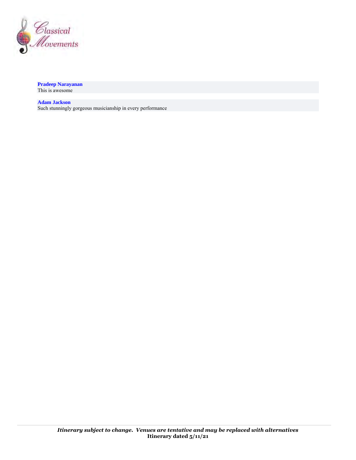

**[Pradeep Narayanan](https://www.facebook.com/profile.php?id=100005435386662&comment_id=Y29tbWVudDo4MTI0NjgxMTk2NzQzNTVfODEyOTA0NTUyOTY0MDQ1&__cft__%5b0%5d=AZWJA4GecZPG7e1U3j3EgrsHamzp9oJST6OJTB5R1y1jYhbOTSYX6K0UDFHhwTL-43Zytei2lkuzxf9E2qxL8fLV_HcJb3hcFmB5EcIfTxzguSlMRGNsEe1TNRP-wGrG6leyZyO7TUt8tE4wlIOnEQBI7G2RUt43WZ8WLHwUAostfWN5PbnBz7i1d3wTmDhRSms&__tn__=R%5d-R)** This is awesome

**[Adam Jackson](https://www.facebook.com/profile.php?id=100051811652240&comment_id=Y29tbWVudDo4MTI0NjgxMTk2NzQzNTVfODEyOTAzMDk5NjMwODU3&__cft__%5b0%5d=AZWJA4GecZPG7e1U3j3EgrsHamzp9oJST6OJTB5R1y1jYhbOTSYX6K0UDFHhwTL-43Zytei2lkuzxf9E2qxL8fLV_HcJb3hcFmB5EcIfTxzguSlMRGNsEe1TNRP-wGrG6leyZyO7TUt8tE4wlIOnEQBI7G2RUt43WZ8WLHwUAostfWN5PbnBz7i1d3wTmDhRSms&__tn__=R%5d-R)** Such stunningly gorgeous musicianship in every performance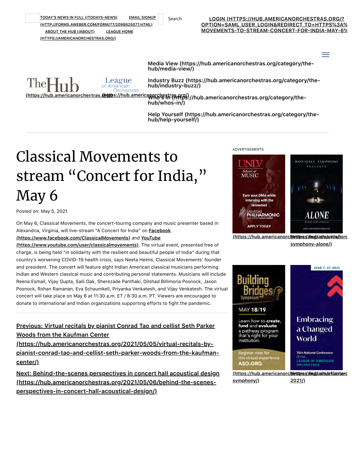| TODAY'S NEWS IN FULL (/TODAYS-NEWS)               |                    | <b>EMAIL SIGNUP</b> |  |
|---------------------------------------------------|--------------------|---------------------|--|
| (HTTP://FORMS.AWEBER.COM/FORM/77/2098625077.HTML) |                    |                     |  |
| <b>ABOUT THE HUB (/ABOUT)</b>                     | <b>LEAGUE HOME</b> |                     |  |

**[\(HTTPS://AMERICANORCHESTRAS.ORG/\)](https://americanorchestras.org/)**

Search **LOGIN (HTTPS://HUB.AMERICANORCHESTRAS.ORG/? [OPTION=SAML\\_USER\\_LOGIN&REDIRECT\\_TO=HTTPS%3A%](https://hub.americanorchestras.org/?option=saml_user_login&redirect_to=https%3A%2F%2Fhub.americanorchestras.org%2F2021%2F05%2F05%2Fclassical-movements-to-stream-concert-for-india-may-6%2F) MOVEMENTS-TO-STREAM-CONCERT-FOR-INDIA-MAY-6%**

 $=$ 

**[Media View \(https://hub.americanorchestras.org/category/the](https://hub.americanorchestras.org/category/the-hub/media-view/)hub/media-view/)**

Thel

**[Industry Buzz \(https://hub.americanorchestras.org/category/the](https://hub.americanorchestras.org/category/the-hub/industry-buzz/)hub/industry-buzz/)**

**[\(https://hub.americanorchestras.org/\)](https://hub.americanorchestras.org/) [\(https://hub.americanorchestras.org/\)](https://hub.americanorchestras.org/) [Who's In \(https://hub.americanorchestras.org/category/the](https://hub.americanorchestras.org/category/the-hub/whos-in/)hub/whos-in/)**

> **[Help Yourself \(https://hub.americanorchestras.org/category/the](https://hub.americanorchestras.org/category/the-hub/help-yourself/)hub/help-yourself/)**

# Classical Movements to stream "Concert for India," May 6

League

American **Orchestras** 

Posted on: May 5, 2021

On May 6, Classical Movements, the concert-touring company and music presenter based in [Alexandria, Virginia, will live-stream "A Concert for India" on](https://www.facebook.com/ClassicalMovements) **Facebook**

**(https://www.facebook.com/ClassicalMovements)** and **YouTube [\(https://www.youtube.com/user/classicalmovements\)](https://www.youtube.com/user/classicalmovements)**. The virtual event, presented free of

charge, is being held "in solidarity with the resilient and beautiful people of India" during that country's worsening COVID-19 health crisis, says Neeta Helms, Classical Movements' founder and president. The concert will feature eight Indian American classical musicians performing Indian and Western classical music and contributing personal statements. Musicians will include Reena Esmail, Vijay Gupta, Saili Oak, Sherezade Panthaki, Dilshad Billimoria Posnock, Jason Posnock, Rohan Ramanan, Eva Schaumkell, Priyanka Venkatesh, and Vijay Venkatesh. The virtual concert will take place on May 6 at 11:30 a.m. ET / 8:30 a.m. PT. Viewers are encouraged to donate to international and Indian organizations supporting efforts to fight the pandemic.

#### **Previous: Virtual recitals by pianist Conrad Tao and cellist Seth Parker Woods from the Kaufman Center**

**(https://hub.americanorchestras.org/2021/05/05/virtual-recitals-by[pianist-conrad-tao-and-cellist-seth-parker-woods-from-the-kaufman](https://hub.americanorchestras.org/2021/05/05/virtual-recitals-by-pianist-conrad-tao-and-cellist-seth-parker-woods-from-the-kaufman-center/)center/)**

**[Next: Behind-the-scenes perspectives in concert hall acoustical design](https://hub.americanorchestras.org/2021/05/06/behind-the-scenes-perspectives-in-concert-hall-acoustical-design/) (https://hub.americanorchestras.org/2021/05/06/behind-the-scenesperspectives-in-concert-hall-acoustical-design/)**



**[\(https://hub.americanorchestras.org/ads/unlv/\)](https://hub.americanorchestras.org/ads/unlv/) [\(https://hub.americanorc](https://hub.americanorchestras.org/ads/monterey-symphony-alone/) symphony-alone/)**

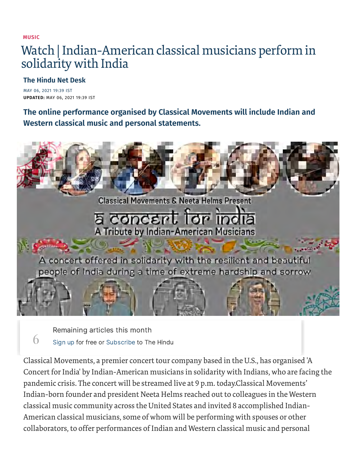**[MUSIC](https://www.thehindu.com/entertainment/music/)**

# Watch | Indian-American classical musicians perform in solidarity with India

## **[The Hindu Net Desk](https://www.thehindu.com/profile/author/The-Hindu-Net-Desk-248/)**

MAY 06, 2021 19:39 IST **UPDATED:** MAY 06, 2021 19:39 IST

**The online performance organised by Classical Movements will include Indian and Western classical music and personal statements.**



6 Remaining articles this month Sign up for free or [Subscribe](https://www.thehindu.com/subscription/?_ptid=%7Bjcx%7DH4sIAAAAAAAAAI2QX2-CMBTFv0ufrWlLweKbGpxziY6MCXsspUon_4QW3ZZ99wGZW0z2sJv7cu_vnpOb8wG4SsAUWKc6b8zpsTJgBCp-kDslz_c9IYhgiGyIHIgtiBnEFLoMwTZaqFf1gEqavmvk-ZC6bmzviYsnAgvO-mbWPhGxwChmFu2M5aWStZKFkIO1F23oPFqvyXPo31DvIoXRqiyGM8wQk1aJDIWoK2I4ydoji20jj_Yk3VMnI7fuM_EjbtLyHMi8yriWQbSNvHl4F1hPBDtuJ0l5c4VgqmsjR0B_z4N6G2zwcukvVw5agV-247Xihe5PCpNlIyB4XnF1KJrrolWNGjho4d8JUojtwn-bLbAf5i_BxiT_SVBVfSAWG7Ou7THF3c40sp4dZKE7lJxF_6fOwBQ7BFE0Ya79-QWwWmsE5gEAAA) to The Hindu

Classical Movements, a premier concert tour company based in the U.S., has organised 'A Concert for India' by Indian-American musicians in solidarity with Indians, who are facing the pandemic crisis. The concert will be streamed live at 9 p.m. today.Classical Movements' Indian-born founder and president Neeta Helms reached out to colleagues in the Western classical music community across the United States and invited 8 accomplished Indian-American classical musicians, some of whom will be performing with spouses or other collaborators, to offer performances of Indian and Western classical music and personal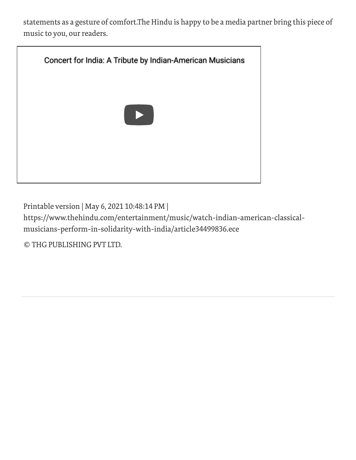statements as a gesture of comfort.The Hindu is happy to be a media partner bring this piece of music to you, our readers.



Printable version | May 6, 2021 10:48:14 PM |

https://www.thehindu.com/entertainment/music/watch-indian-american-classicalmusicians-perform-in-solidarity-with-india/article34499836.ece

© THG PUBLISHING PVT LTD.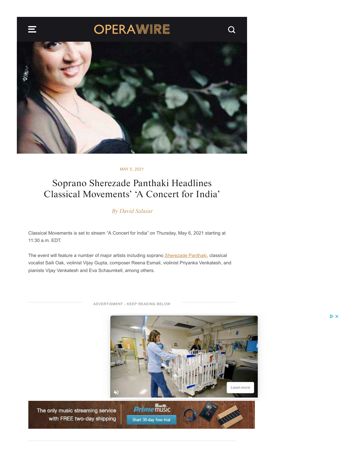

MAY 5, 2021

## Soprano Sherezade Panthaki Headlines Classical Movements' 'A Concert for India'

By [David Salazar](https://operawire.com/author/davesy22)

Classical Movements is set to stream "A Concert for India" on Thursday, May 6, 2021 starting at 11:30 a.m. EDT.

The event will feature a number of major artists including sopran[o Sherezade Panthaki,](https://operawire.com/q-a-soprano-sherezade-panthaki-on-the-art-of-baroque-music/) classical vocalist Saili Oak, violinist Vijay Gupta, composer Reena Esmail, violinist Priyanka Venkatesh, and pianists Vijay Venkatesh and Eva Schaumkell, among others.

ADVERTISMENT - KEEP READING BELOW



The only music streaming service with FREE two-day shipping